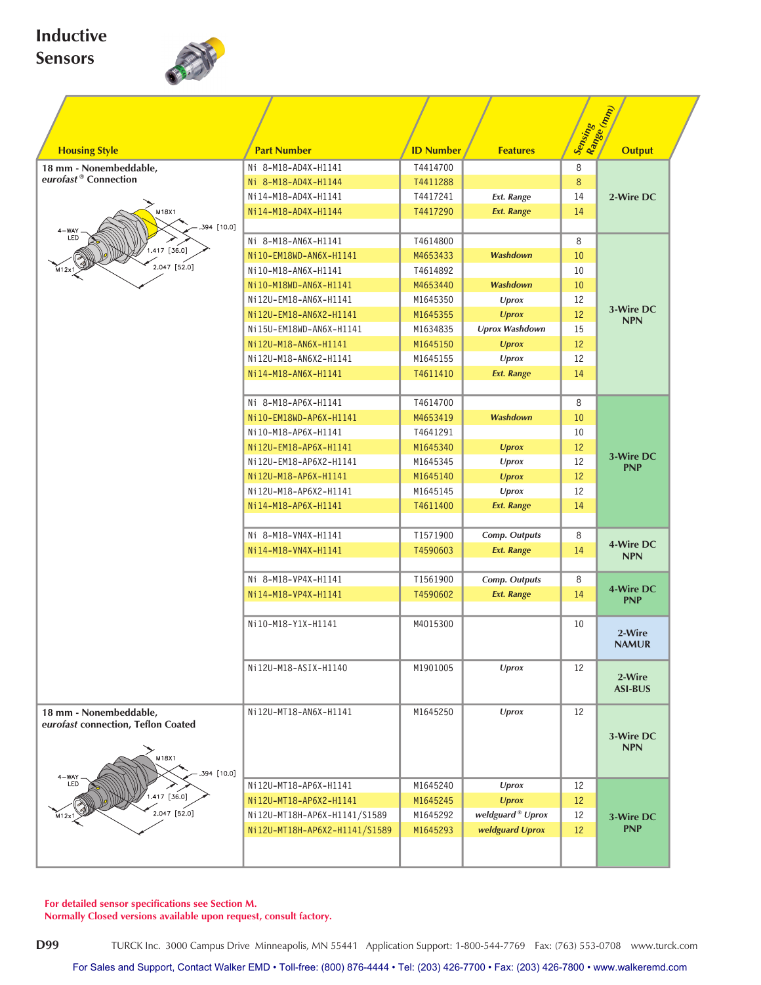## **Inductive Sensors**



|                                                               |                               |                  |                              | Sensing<br>Range (mm) |                |
|---------------------------------------------------------------|-------------------------------|------------------|------------------------------|-----------------------|----------------|
| <b>Housing Style</b>                                          | <b>Part Number</b>            | <b>ID Number</b> | <b>Features</b>              |                       | <b>Output</b>  |
| 18 mm - Nonembeddable,                                        | Ni 8-M18-AD4X-H1141           | T4414700         |                              | 8                     |                |
| eurofast <sup>®</sup> Connection                              | Ni 8-M18-AD4X-H1144           | T4411288         |                              | 8                     |                |
|                                                               | Ni14-M18-AD4X-H1141           | T4417241         | Ext. Range                   | 14                    | 2-Wire DC      |
| M18X1                                                         | Ni14-M18-AD4X-H1144           | T4417290         | <b>Ext. Range</b>            | 14                    |                |
| 394 [10.0]                                                    |                               |                  |                              |                       |                |
| $\begin{array}{c} \texttt{4-WAY} \\ \texttt{LED} \end{array}$ | Ni 8-M18-AN6X-H1141           | T4614800         |                              | 8                     |                |
| 417 [36.0]                                                    | Ni10-EM18WD-AN6X-H1141        | M4653433         | <b>Washdown</b>              | 10                    |                |
| 2.047 [52.0]<br>$M12\times 1$                                 | Ni10-M18-AN6X-H1141           | T4614892         |                              | 10                    |                |
|                                                               | Ni10-M18WD-AN6X-H1141         | M4653440         | <b>Washdown</b>              | 10                    |                |
|                                                               | Ni12U-EM18-AN6X-H1141         | M1645350         | Uprox                        | 12                    |                |
|                                                               | Ni12U-EM18-AN6X2-H1141        | M1645355         | <b>Uprox</b>                 | 12                    | 3-Wire DC      |
|                                                               | Ni15U-EM18WD-AN6X-H1141       | M1634835         | <b>Uprox Washdown</b>        | 15                    | <b>NPN</b>     |
|                                                               | Ni12U-M18-AN6X-H1141          | M1645150         | <b>Uprox</b>                 | 12                    |                |
|                                                               | Ni12U-M18-AN6X2-H1141         | M1645155         | <b>Uprox</b>                 | 12                    |                |
|                                                               | Ni14-M18-AN6X-H1141           | T4611410         | <b>Ext. Range</b>            | 14                    |                |
|                                                               |                               |                  |                              |                       |                |
|                                                               | Ni 8-M18-AP6X-H1141           | T4614700         |                              | 8                     |                |
|                                                               | Ni10-EM18WD-AP6X-H1141        | M4653419         | <b>Washdown</b>              | 10                    |                |
|                                                               | Ni10-M18-AP6X-H1141           | T4641291         |                              | 10                    |                |
|                                                               | Ni12U-EM18-AP6X-H1141         | M1645340         | <b>Uprox</b>                 | 12                    |                |
|                                                               | Ni12U-EM18-AP6X2-H1141        | M1645345         | Uprox                        | 12                    | 3-Wire DC      |
|                                                               | Ni12U-M18-AP6X-H1141          | M1645140         | <b>Uprox</b>                 | 12                    | <b>PNP</b>     |
|                                                               | Ni12U-M18-AP6X2-H1141         | M1645145         | <b>Uprox</b>                 | 12                    |                |
|                                                               | Ni14-M18-AP6X-H1141           | T4611400         | <b>Ext. Range</b>            | 14                    |                |
|                                                               |                               |                  |                              |                       |                |
|                                                               | Ni 8-M18-VN4X-H1141           | T1571900         | Comp. Outputs                | 8                     |                |
|                                                               | Ni14-M18-VN4X-H1141           | T4590603         | <b>Ext. Range</b><br>14      |                       | 4-Wire DC      |
|                                                               |                               |                  |                              |                       | <b>NPN</b>     |
|                                                               | Ni 8-M18-VP4X-H1141           | T1561900         | Comp. Outputs                | 8                     |                |
|                                                               | Ni14-M18-VP4X-H1141           | T4590602         | <b>Ext. Range</b>            | 14                    | 4-Wire DC      |
|                                                               |                               |                  |                              |                       | <b>PNP</b>     |
|                                                               | Ni10-M18-Y1X-H1141            | M4015300         |                              | 10                    |                |
|                                                               |                               |                  |                              |                       | 2-Wire         |
|                                                               |                               |                  |                              |                       | <b>NAMUR</b>   |
|                                                               | Ni12U-M18-ASIX-H1140          | M1901005         | Uprox                        | 12                    |                |
|                                                               |                               |                  |                              |                       | 2-Wire         |
|                                                               |                               |                  |                              |                       | <b>ASI-BUS</b> |
| 18 mm - Nonembeddable,                                        | Ni12U-MT18-AN6X-H1141         | M1645250         | <b>Uprox</b>                 | 12                    |                |
| eurofast connection, Teflon Coated                            |                               |                  |                              |                       |                |
|                                                               |                               |                  |                              |                       | 3-Wire DC      |
| M18X1                                                         |                               |                  |                              |                       | <b>NPN</b>     |
| 394 [10.0]                                                    |                               |                  |                              |                       |                |
| 4-WAY<br>LED                                                  | Ni12U-MT18-AP6X-H1141         | M1645240         | Uprox                        | 12                    |                |
| $.417$ [36.0]                                                 | Ni12U-MT18-AP6X2-H1141        | M1645245         | <b>Uprox</b>                 | 12                    |                |
| $2.047$ [52.0]<br>M12x1                                       | Ni12U-MT18H-AP6X-H1141/S1589  | M1645292         | weldguard <sup>®</sup> Uprox | 12                    | 3-Wire DC      |
|                                                               | Ni12U-MT18H-AP6X2-H1141/S1589 | M1645293         | weldguard Uprox              | 12                    | <b>PNP</b>     |
|                                                               |                               |                  |                              |                       |                |
|                                                               |                               |                  |                              |                       |                |
|                                                               |                               |                  |                              |                       |                |

**For detailed sensor specifications see Section M.**

**Normally Closed versions available upon request, consult factory.**